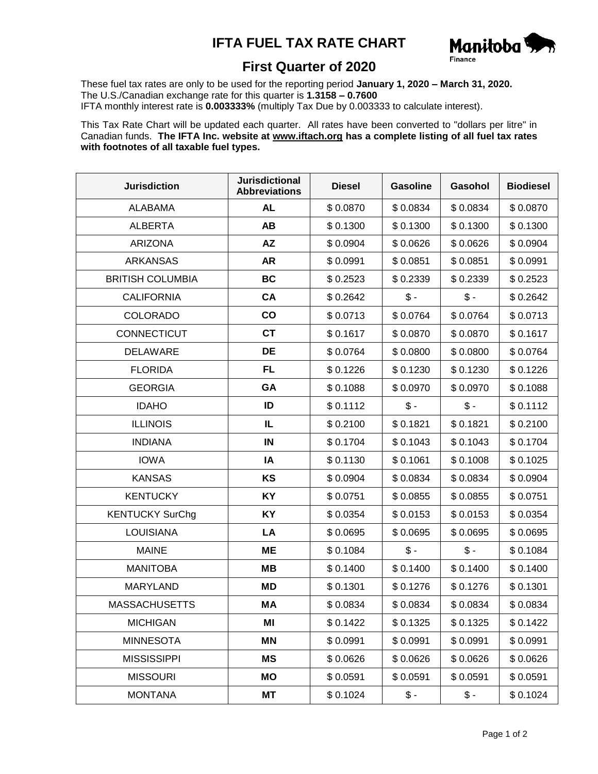## **IFTA FUEL TAX RATE CHART**



## **First Quarter of 2020**

These fuel tax rates are only to be used for the reporting period **January 1, 2020 – March 31, 2020.** The U.S./Canadian exchange rate for this quarter is **1.3158 – 0.7600** IFTA monthly interest rate is **0.003333%** (multiply Tax Due by 0.003333 to calculate interest).

This Tax Rate Chart will be updated each quarter. All rates have been converted to "dollars per litre" in Canadian funds. **The IFTA Inc. website at www.iftach.org has a complete listing of all fuel tax rates with footnotes of all taxable fuel types.**

| <b>Jurisdiction</b>     | <b>Jurisdictional</b><br><b>Abbreviations</b> | <b>Diesel</b> | <b>Gasoline</b> | Gasohol         | <b>Biodiesel</b> |
|-------------------------|-----------------------------------------------|---------------|-----------------|-----------------|------------------|
| <b>ALABAMA</b>          | <b>AL</b>                                     | \$0.0870      | \$0.0834        | \$0.0834        | \$0.0870         |
| <b>ALBERTA</b>          | <b>AB</b>                                     | \$0.1300      | \$0.1300        | \$0.1300        | \$0.1300         |
| <b>ARIZONA</b>          | <b>AZ</b>                                     | \$0.0904      | \$0.0626        | \$0.0626        | \$0.0904         |
| <b>ARKANSAS</b>         | <b>AR</b>                                     | \$0.0991      | \$0.0851        | \$0.0851        | \$0.0991         |
| <b>BRITISH COLUMBIA</b> | <b>BC</b>                                     | \$0.2523      | \$0.2339        | \$0.2339        | \$0.2523         |
| <b>CALIFORNIA</b>       | <b>CA</b>                                     | \$0.2642      | $$ -$           | $\frac{2}{3}$ - | \$0.2642         |
| <b>COLORADO</b>         | $\mathbf{co}$                                 | \$0.0713      | \$0.0764        | \$0.0764        | \$0.0713         |
| CONNECTICUT             | <b>CT</b>                                     | \$0.1617      | \$0.0870        | \$0.0870        | \$0.1617         |
| <b>DELAWARE</b>         | DE                                            | \$0.0764      | \$0.0800        | \$0.0800        | \$0.0764         |
| <b>FLORIDA</b>          | <b>FL</b>                                     | \$0.1226      | \$0.1230        | \$0.1230        | \$0.1226         |
| <b>GEORGIA</b>          | GA                                            | \$0.1088      | \$0.0970        | \$0.0970        | \$0.1088         |
| <b>IDAHO</b>            | ID                                            | \$0.1112      | $$ -$           | $\mathsf{\$}$ - | \$0.1112         |
| <b>ILLINOIS</b>         | IL                                            | \$0.2100      | \$0.1821        | \$0.1821        | \$0.2100         |
| <b>INDIANA</b>          | IN                                            | \$0.1704      | \$0.1043        | \$0.1043        | \$0.1704         |
| <b>IOWA</b>             | IA                                            | \$0.1130      | \$0.1061        | \$0.1008        | \$0.1025         |
| <b>KANSAS</b>           | KS                                            | \$0.0904      | \$0.0834        | \$0.0834        | \$0.0904         |
| <b>KENTUCKY</b>         | <b>KY</b>                                     | \$0.0751      | \$0.0855        | \$0.0855        | \$0.0751         |
| <b>KENTUCKY SurChg</b>  | KY                                            | \$0.0354      | \$0.0153        | \$0.0153        | \$0.0354         |
| <b>LOUISIANA</b>        | LA                                            | \$0.0695      | \$0.0695        | \$0.0695        | \$0.0695         |
| <b>MAINE</b>            | <b>ME</b>                                     | \$0.1084      | $\mathsf{\$}$ - | $\frac{2}{3}$ - | \$0.1084         |
| <b>MANITOBA</b>         | <b>MB</b>                                     | \$0.1400      | \$0.1400        | \$0.1400        | \$0.1400         |
| <b>MARYLAND</b>         | MD                                            | \$0.1301      | \$0.1276        | \$0.1276        | \$0.1301         |
| <b>MASSACHUSETTS</b>    | <b>MA</b>                                     | \$0.0834      | \$0.0834        | \$0.0834        | \$0.0834         |
| <b>MICHIGAN</b>         | ΜI                                            | \$0.1422      | \$0.1325        | \$0.1325        | \$0.1422         |
| <b>MINNESOTA</b>        | ΜN                                            | \$0.0991      | \$0.0991        | \$0.0991        | \$0.0991         |
| <b>MISSISSIPPI</b>      | <b>MS</b>                                     | \$0.0626      | \$0.0626        | \$0.0626        | \$0.0626         |
| <b>MISSOURI</b>         | MO                                            | \$0.0591      | \$0.0591        | \$0.0591        | \$0.0591         |
| <b>MONTANA</b>          | MT                                            | \$0.1024      | \$ -            | \$ -            | \$0.1024         |